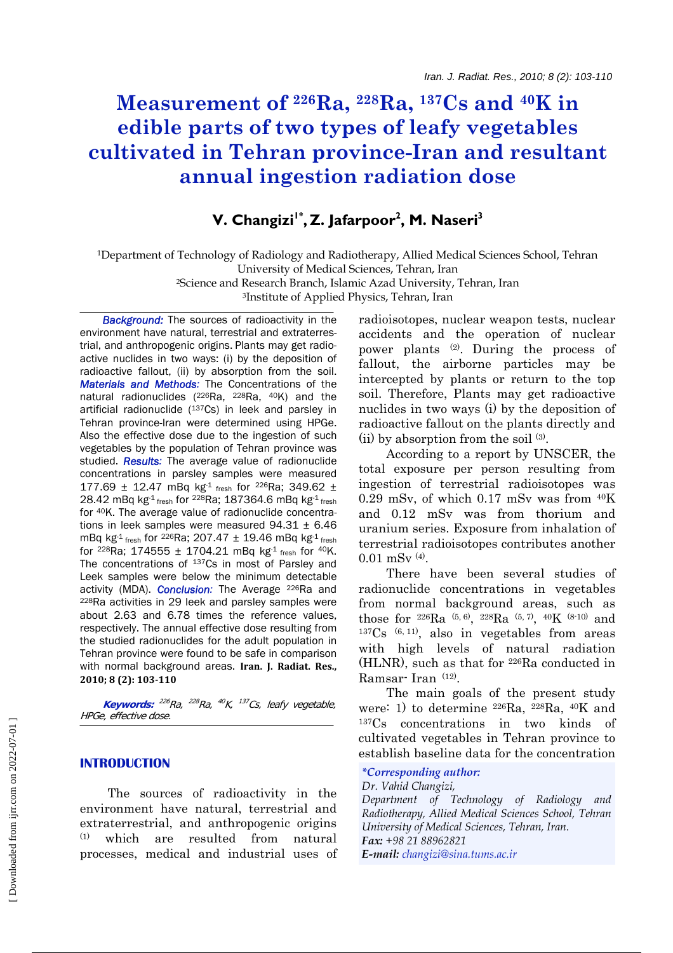# **Measurement of 226Ra, 228Ra, 137Cs and 40K in edible parts of two types of leafy vegetables cultivated in Tehran province-Iran and resultant annual ingestion radiation dose**

## V. Changizi<sup>1\*</sup>, Z. Jafarpoor<sup>2</sup>, M. Naseri<sup>3</sup>

1Department of Technology of Radiology and Radiotherapy, Allied Medical Sciences School, Tehran University of Medical Sciences, Tehran, Iran 2Science and Research Branch, Islamic Azad University, Tehran, Iran

3Institute of Applied Physics, Tehran, Iran

**Background:** The sources of radioactivity in the environment have natural, terrestrial and extraterrestrial, and anthropogenic origins. Plants may get radioactive nuclides in two ways: (i) by the deposition of radioactive fallout, (ii) by absorption from the soil. *Materials and Methods:* The Concentrations of the natural radionuclides (226Ra, 228Ra, 40K) and the artificial radionuclide (137Cs) in leek and parsley in Tehran province-Iran were determined using HPGe. Also the effective dose due to the ingestion of such vegetables by the population of Tehran province was studied. *Results:* The average value of radionuclide concentrations in parsley samples were measured 177.69 ± 12.47 mBq kg<sup>-1</sup> fresh for <sup>226</sup>Ra; 349.62 ± 28.42 mBq kg-1 fresh for <sup>228</sup>Ra; 187364.6 mBq kg-1 fresh for 40K. The average value of radionuclide concentrations in leek samples were measured  $94.31 \pm 6.46$ mBq kg<sup>-1</sup> fresh for <sup>226</sup>Ra; 207.47  $\pm$  19.46 mBq kg<sup>-1</sup> fresh for 228Ra; 174555 ± 1704.21 mBq kg-1 fresh for 40K. The concentrations of 137Cs in most of Parsley and Leek samples were below the minimum detectable activity (MDA). *Conclusion:* The Average 226Ra and 228Ra activities in 29 leek and parsley samples were about 2.63 and 6.78 times the reference values, respectively. The annual effective dose resulting from the studied radionuclides for the adult population in Tehran province were found to be safe in comparison with normal background areas. **Iran. J. Radiat. Res., 2010; 8 (2): 103110**

 **Keywords:** <sup>226</sup>Ra, <sup>228</sup>Ra, <sup>40</sup>K, <sup>137</sup>Cs, leafy vegetable, HPGe, effective dose.

## **INTRODUCTION**

 The sources of radioactivity in the environment have natural, terrestrial and extraterrestrial, and anthropogenic origins (1) which are resulted from natural processes, medical and industrial uses of radioisotopes, nuclear weapon tests, nuclear accidents and the operation of nuclear power plants (2). During the process of fallout, the airborne particles may be intercepted by plants or return to the top soil. Therefore, Plants may get radioactive nuclides in two ways (i) by the deposition of radioactive fallout on the plants directly and (ii) by absorption from the soil (3).

 According to a report by UNSCER, the total exposure per person resulting from ingestion of terrestrial radioisotopes was 0.29 mSv, of which 0.17 mSv was from 40K and 0.12 mSv was from thorium and uranium series. Exposure from inhalation of terrestrial radioisotopes contributes another  $0.01$  mSv  $(4)$ .

 There have been several studies of radionuclide concentrations in vegetables from normal background areas, such as those for  ${}^{226}Ra$  (5, 6),  ${}^{228}Ra$  (5, 7),  ${}^{40}K$  (8-10) and  $137Cs$  (6, 11), also in vegetables from areas with high levels of natural radiation (HLNR), such as that for 226Ra conducted in Ramsar- Iran (12).

 The main goals of the present study were: 1) to determine 226Ra, 228Ra, 40K and 137Cs concentrations in two kinds of cultivated vegetables in Tehran province to establish baseline data for the concentration

## *\*Corresponding author:*

*Dr. Vahid Changizi,* 

*Department of Technology of Radiology and Radiotherapy, Allied Medical Sciences School, Tehran University of Medical Sciences, Tehran, Iran. Fax: +98 21 88962821 E-mail: changizi@sina.tums.ac.ir*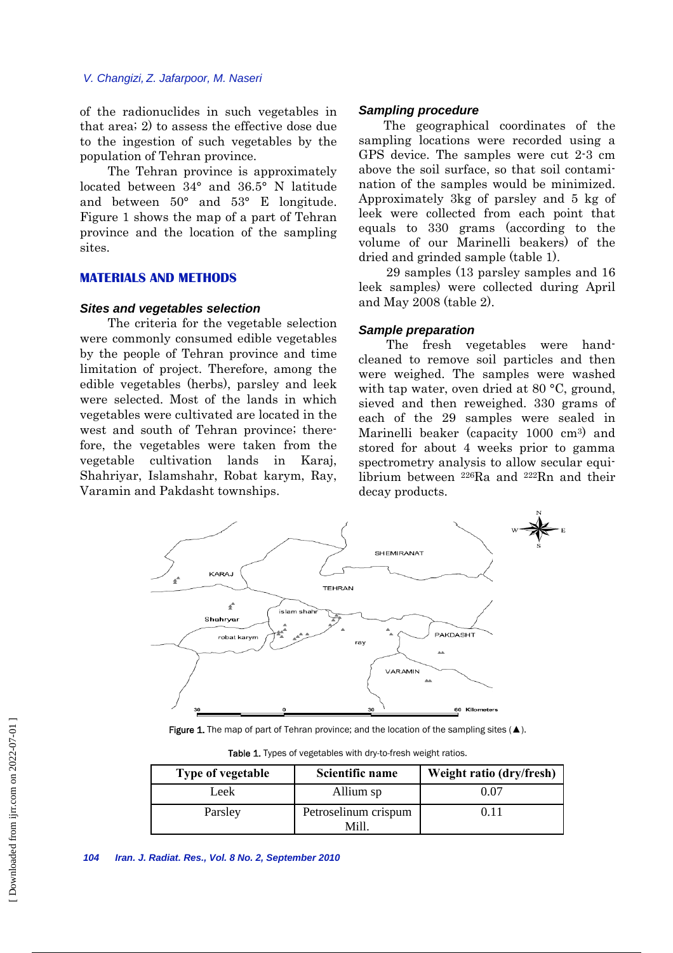#### *V. Changizi, Z. Jafarpoor, M. Naseri*

of the radionuclides in such vegetables in that area; 2) to assess the effective dose due to the ingestion of such vegetables by the population of Tehran province.

 The Tehran province is approximately located between 34° and 36.5° N latitude and between 50° and 53° E longitude. Figure 1 shows the map of a part of Tehran province and the location of the sampling sites.

## **MATERIALS AND METHODS**

#### *Sites and vegetables selection*

 The criteria for the vegetable selection were commonly consumed edible vegetables by the people of Tehran province and time limitation of project. Therefore, among the edible vegetables (herbs), parsley and leek were selected. Most of the lands in which vegetables were cultivated are located in the west and south of Tehran province; therefore, the vegetables were taken from the vegetable cultivation lands in Karaj, Shahriyar, Islamshahr, Robat karym, Ray, Varamin and Pakdasht townships.

#### *Sampling procedure*

The geographical coordinates of the sampling locations were recorded using a GPS device. The samples were cut 2-3 cm above the soil surface, so that soil contamination of the samples would be minimized. Approximately 3kg of parsley and 5 kg of leek were collected from each point that equals to 330 grams (according to the volume of our Marinelli beakers) of the dried and grinded sample (table 1).

 29 samples (13 parsley samples and 16 leek samples) were collected during April and May 2008 (table 2).

#### *Sample preparation*

 The fresh vegetables were handcleaned to remove soil particles and then were weighed. The samples were washed with tap water, oven dried at 80 °C, ground, sieved and then reweighed. 330 grams of each of the 29 samples were sealed in Marinelli beaker (capacity 1000 cm3) and stored for about 4 weeks prior to gamma spectrometry analysis to allow secular equilibrium between 226Ra and 222Rn and their decay products.



Figure 1. The map of part of Tehran province; and the location of the sampling sites  $(\triangle)$ .

| Type of vegetable | Scientific name              | Weight ratio (dry/fresh) |  |
|-------------------|------------------------------|--------------------------|--|
| Leek              | Allium sp                    | 0.07                     |  |
| Parsley           | Petroselinum crispum<br>Mill | 0.11                     |  |

Table 1. Types of vegetables with dry-to-fresh weight ratios.

*<sup>104</sup> Iran. J. Radiat. Res., Vol. 8 No. 2, September 2010*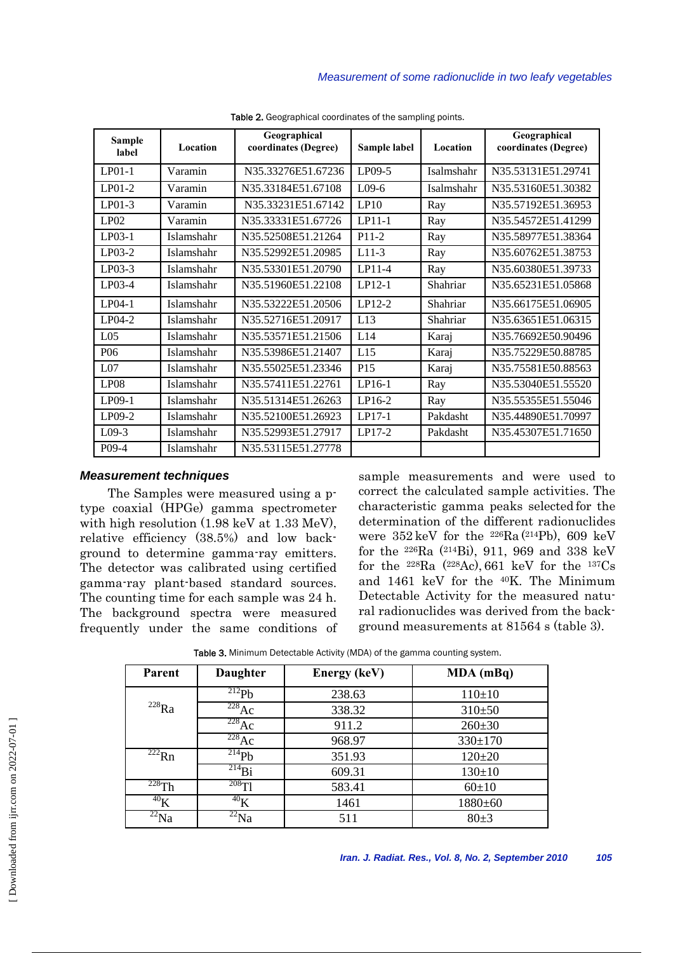| <b>Sample</b><br>label | Location   | Geographical<br>coordinates (Degree) | Sample label    | Location   | Geographical<br>coordinates (Degree) |
|------------------------|------------|--------------------------------------|-----------------|------------|--------------------------------------|
| $LP01-1$               | Varamin    | N35.33276E51.67236                   | LP09-5          | Isalmshahr | N35.53131E51.29741                   |
| $LP01-2$               | Varamin    | N35.33184E51.67108                   | $L$ 09-6        | Isalmshahr | N35.53160E51.30382                   |
| $LP01-3$               | Varamin    | N35.33231E51.67142                   | LP10            | Ray        | N35.57192E51.36953                   |
| LP02                   | Varamin    | N35.33331E51.67726                   | $LPI1-1$        | Ray        | N35.54572E51.41299                   |
| $LP03-1$               | Islamshahr | N35.52508E51.21264                   | $P11-2$         | Ray        | N35.58977E51.38364                   |
| $LP03-2$               | Islamshahr | N35.52992E51.20985                   | $L11-3$         | Ray        | N35.60762E51.38753                   |
| $LP03-3$               | Islamshahr | N35.53301E51.20790                   | LP11-4          | Ray        | N35.60380E51.39733                   |
| LP03-4                 | Islamshahr | N35.51960E51.22108                   | $LP12-1$        | Shahriar   | N35.65231E51.05868                   |
| $LP04-1$               | Islamshahr | N35.53222E51.20506                   | LP12-2          | Shahriar   | N35.66175E51.06905                   |
| $LP04-2$               | Islamshahr | N35.52716E51.20917                   | L13             | Shahriar   | N35.63651E51.06315                   |
| L <sub>05</sub>        | Islamshahr | N35.53571E51.21506                   | L14             | Karaj      | N35.76692E50.90496                   |
| P <sub>06</sub>        | Islamshahr | N35.53986E51.21407                   | L15             | Karaj      | N35.75229E50.88785                   |
| L <sub>07</sub>        | Islamshahr | N35.55025E51.23346                   | P <sub>15</sub> | Karaj      | N35.75581E50.88563                   |
| LP <sub>08</sub>       | Islamshahr | N35.57411E51.22761                   | LP16-1          | Ray        | N35.53040E51.55520                   |
| $LP09-1$               | Islamshahr | N35.51314E51.26263                   | LP16-2          | Ray        | N35.55355E51.55046                   |
| $LP09-2$               | Islamshahr | N35.52100E51.26923                   | $LP17-1$        | Pakdasht   | N35.44890E51.70997                   |
| $L09-3$                | Islamshahr | N35.52993E51.27917                   | $LP17-2$        | Pakdasht   | N35.45307E51.71650                   |
| $P(09-4)$              | Islamshahr | N35.53115E51.27778                   |                 |            |                                      |

Table 2. Geographical coordinates of the sampling points.

## *Measurement techniques*

 The Samples were measured using a ptype coaxial (HPGe) gamma spectrometer with high resolution (1.98 keV at 1.33 MeV), relative efficiency (38.5%) and low background to determine gamma-ray emitters. The detector was calibrated using certified gamma-ray plant-based standard sources. The counting time for each sample was 24 h. The background spectra were measured frequently under the same conditions of sample measurements and were used to correct the calculated sample activities. The characteristic gamma peaks selected for the determination of the different radionuclides were  $352 \text{ keV}$  for the <sup>226</sup>Ra (<sup>214</sup>Pb), 609 keV for the 226Ra (214Bi), 911, 969 and 338 keV for the  $228Ra$  ( $228Ac$ ), 661 keV for the  $137Cs$ and 1461 keV for the 40K. The Minimum Detectable Activity for the measured natural radionuclides was derived from the background measurements at 81564 s (table 3).

| Parent                      | <b>Daughter</b>             | <b>Energy (keV)</b> | MDA (mBq)     |
|-----------------------------|-----------------------------|---------------------|---------------|
|                             | $^{212}Pb$                  | 238.63              | $110+10$      |
| $^{228}Ra$                  | $^{228}Ac$                  | 338.32              | $310+50$      |
|                             | $^{228}Ac$                  | 911.2               | $260 \pm 30$  |
|                             | $^{228}Ac$                  | 968.97              | $330 \pm 170$ |
| $\overline{^{222}}$ Rn      | $^{214}Pb$                  | 351.93              | $120 + 20$    |
|                             | $^{214}Bi$                  | 609.31              | $130 \pm 10$  |
| $228$ Th                    | $^{208}$ Tl                 | 583.41              | $60+10$       |
| $^{40}$ K                   | $^{40}$ K                   | 1461                | 1880±60       |
| $\overline{^{22}}\text{Na}$ | $\overline{^{22}}\text{Na}$ | 511                 | $80+3$        |

Table 3. Minimum Detectable Activity (MDA) of the gamma counting system.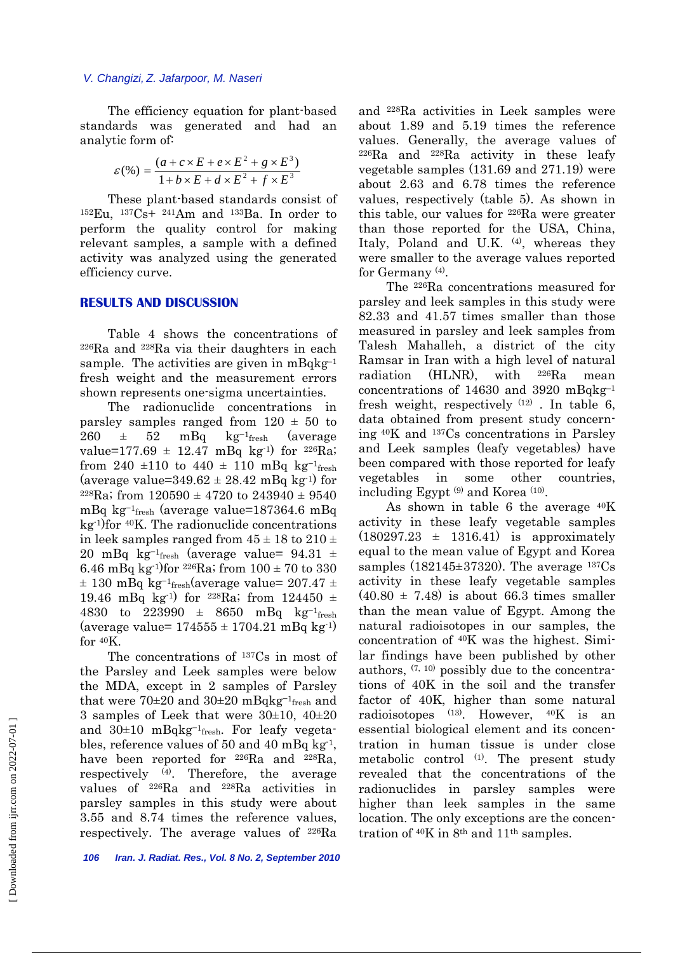The efficiency equation for plant-based standards was generated and had an analytic form of:

$$
\varepsilon(\%) = \frac{(a + c \times E + e \times E^2 + g \times E^3)}{1 + b \times E + d \times E^2 + f \times E^3}
$$

 These plant-based standards consist of 152Eu, 137Cs+ 241Am and 133Ba. In order to perform the quality control for making relevant samples, a sample with a defined activity was analyzed using the generated efficiency curve.

#### **RESULTS AND DISCUSSION**

 Table 4 shows the concentrations of  $226Ra$  and  $228Ra$  via their daughters in each sample. The activities are given in  $mBqkg^{-1}$ fresh weight and the measurement errors shown represents one-sigma uncertainties.

 The radionuclide concentrations in parsley samples ranged from  $120 \pm 50$  to  $260 \pm 52$  mBq kg<sup>-1</sup>fresh (average value=177.69  $\pm$  12.47 mBq kg<sup>-1</sup>) for <sup>226</sup>Ra; from 240 ±110 to 440 ± 110 mBq kg<sup>-1</sup>fresh (average value= $349.62 \pm 28.42$  mBq kg<sup>-1</sup>) for <sup>228</sup>Ra; from  $120590 \pm 4720$  to  $243940 \pm 9540$ mBq kg<sup>-1</sup>fresh (average value=187364.6 mBq  $kg<sup>-1</sup>$ for  $40K$ . The radionuclide concentrations in leek samples ranged from  $45 \pm 18$  to  $210 \pm 16$ 20 mBq kg<sup>-1</sup>fresh (average value=  $94.31 \pm$ 6.46 mBq kg<sup>-1</sup>)for <sup>226</sup>Ra; from  $100 \pm 70$  to 330  $\pm$  130 mBq kg<sup>-1</sup>fresh(average value= 207.47  $\pm$ 19.46 mBq kg<sup>-1</sup>) for <sup>228</sup>Ra; from 124450  $\pm$ 4830 to 223990  $\pm$  8650 mBq kg<sup>-1</sup>fresh (average value=  $174555 \pm 1704.21$  mBq kg<sup>-1)</sup> for 40K.

 The concentrations of 137Cs in most of the Parsley and Leek samples were below the MDA, except in 2 samples of Parsley that were 70±20 and 30±20 mBqkg<sup>-1</sup>fresh and 3 samples of Leek that were 30±10, 40±20 and  $30±10$  mBqkg<sup>-1</sup>fresh. For leafy vegetables, reference values of 50 and 40 mBq kg-1, have been reported for <sup>226</sup>Ra and <sup>228</sup>Ra, respectively (4). Therefore, the average values of 226Ra and 228Ra activities in parsley samples in this study were about 3.55 and 8.74 times the reference values, respectively. The average values of 226Ra and 228Ra activities in Leek samples were about 1.89 and 5.19 times the reference values. Generally, the average values of  $226Ra$  and  $228Ra$  activity in these leafy vegetable samples (131.69 and 271.19) were about 2.63 and 6.78 times the reference values, respectively (table 5). As shown in this table, our values for 226Ra were greater than those reported for the USA, China, Italy, Poland and U.K. (4), whereas they were smaller to the average values reported for Germany (4).

 The 226Ra concentrations measured for parsley and leek samples in this study were 82.33 and 41.57 times smaller than those measured in parsley and leek samples from Talesh Mahalleh, a district of the city Ramsar in Iran with a high level of natural radiation (HLNR), with 226Ra mean concentrations of 14630 and 3920 mBqkg–1 fresh weight, respectively  $(12)$ . In table 6, data obtained from present study concerning 40K and 137Cs concentrations in Parsley and Leek samples (leafy vegetables) have been compared with those reported for leafy vegetables in some other countries, including Egypt (9) and Korea (10).

 As shown in table 6 the average 40K activity in these leafy vegetable samples  $(180297.23 \pm 1316.41)$  is approximately equal to the mean value of Egypt and Korea samples  $(182145 \pm 37320)$ . The average  $137Cs$ activity in these leafy vegetable samples  $(40.80 \pm 7.48)$  is about 66.3 times smaller than the mean value of Egypt. Among the natural radioisotopes in our samples, the concentration of 40K was the highest. Similar findings have been published by other authors,  $(7, 10)$  possibly due to the concentrations of 40K in the soil and the transfer factor of 40K, higher than some natural radioisotopes  $(13)$ . However,  $40K$  is an essential biological element and its concentration in human tissue is under close metabolic control  $(1)$ . The present study revealed that the concentrations of the radionuclides in parsley samples were higher than leek samples in the same location. The only exceptions are the concentration of 40K in 8th and 11th samples.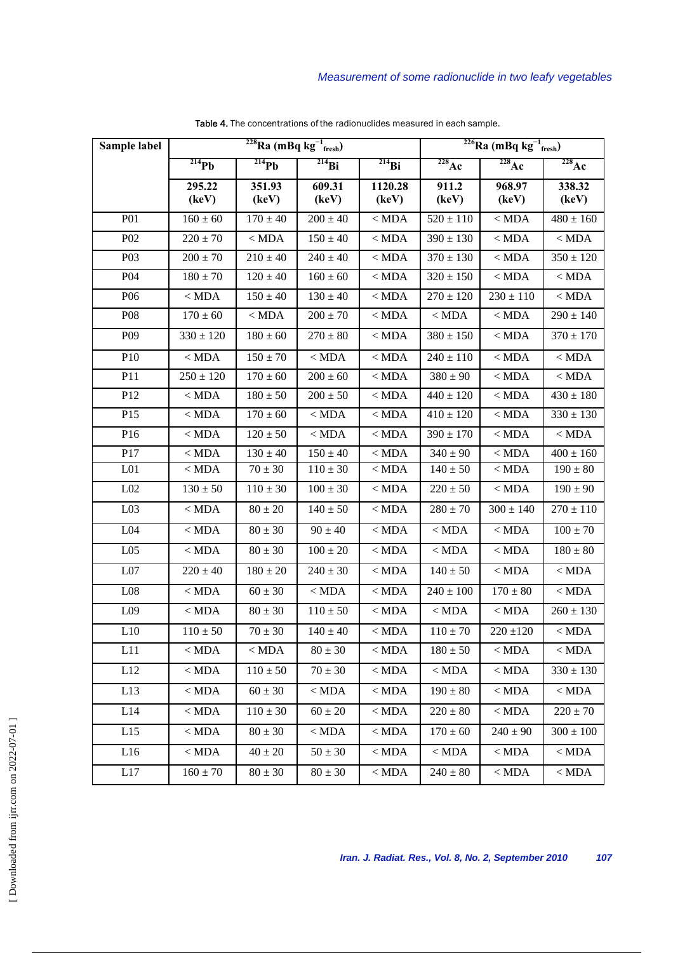| Sample label     | $228$ Ra (mBq kg $^{-1}$ <sub>fresh</sub> ) |                 |                 | $^{226}$ Ra (mBq kg $^{-1}$ <sub>fresh</sub> ) |                              |                 |                              |
|------------------|---------------------------------------------|-----------------|-----------------|------------------------------------------------|------------------------------|-----------------|------------------------------|
|                  | $^{214}Pb$                                  | $^{214}Pb$      | $^{214}Bi$      | $^{214}Bi$                                     | $\overline{^{228}\text{Ac}}$ | $228$ Ac        | $\overline{^{228}\text{Ac}}$ |
|                  | 295.22<br>(key)                             | 351.93<br>(key) | 609.31<br>(keV) | 1120.28<br>(key)                               | 911.2<br>(key)               | 968.97<br>(key) | 338.32<br>(key)              |
| <b>P01</b>       | $160 \pm 60$                                | $170 \pm 40$    | $200 \pm 40$    | $<$ MDA                                        | $520 \pm 110$                | $<$ MDA         | $480 \pm 160$                |
| P <sub>0</sub> 2 | $220 \pm 70$                                | $<$ MDA         | $150 \pm 40$    | $<$ MDA                                        | $390 \pm 130$                | $<$ MDA         | $<$ MDA                      |
| P <sub>0</sub> 3 | $200 \pm 70$                                | $210 \pm 40$    | $240 \pm 40$    | $<$ MDA                                        | $370\pm130$                  | $<$ MDA         | $350 \pm 120$                |
| P <sub>04</sub>  | $180 \pm 70$                                | $120 \pm 40$    | $160 \pm 60$    | $<$ MDA                                        | $320 \pm 150$                | $<$ MDA         | $<$ MDA $\,$                 |
| P <sub>06</sub>  | $<$ MDA                                     | $150 \pm 40$    | $130 \pm 40$    | $<$ MDA                                        | $270 \pm 120$                | $230 \pm 110$   | $<$ MDA                      |
| <b>P08</b>       | $170 \pm 60$                                | $<$ MDA         | $200 \pm 70$    | $<$ MDA                                        | $<$ MDA $\,$                 | $<$ MDA         | $290 \pm 140$                |
| P <sub>09</sub>  | $330 \pm 120$                               | $180 \pm 60$    | $270 \pm 80$    | $<$ MDA                                        | $380 \pm 150$                | $<$ MDA         | $370 \pm 170$                |
| P10              | $<$ MDA $\,$                                | $150 \pm 70$    | $<$ MDA $\,$    | $\overline{\leq}$ MDA                          | $240 \pm 110$                | $<$ MDA $\,$    | $<$ MDA $\,$                 |
| P11              | $250 \pm 120$                               | $170 \pm 60$    | $200 \pm 60$    | $<$ MDA                                        | $380 \pm 90$                 | $<$ MDA         | $<$ MDA                      |
| P <sub>12</sub>  | $<$ MDA                                     | $180 \pm 50$    | $200 \pm 50$    | $<$ MDA                                        | $440 \pm 120$                | $<$ MDA         | $430 \pm 180$                |
| P <sub>15</sub>  | $<$ MDA                                     | $170 \pm 60$    | $<$ MDA         | $<$ MDA                                        | $410 \pm 120$                | $<$ MDA         | $330 \pm 130$                |
| P16              | $<$ MDA                                     | $120 \pm 50$    | $<$ MDA         | $<$ MDA                                        | $390 \pm 170$                | $<$ MDA         | $<$ MDA                      |
| P17              | $<$ MDA $\,$                                | $130 \pm 40$    | $150 \pm 40$    | $<$ MDA                                        | $340 \pm 90$                 | $<$ MDA         | $400 \pm 160$                |
| L <sub>01</sub>  | $<$ MDA                                     | $70 \pm 30$     | $110 \pm 30$    | $<$ MDA                                        | $140 \pm 50$                 | $<$ MDA         | $190 \pm 80$                 |
| L <sub>02</sub>  | $130 \pm 50$                                | $110 \pm 30$    | $100 \pm 30$    | $<$ MDA                                        | $220 \pm 50$                 | $<\mbox{MDA}$   | $190 \pm 90$                 |
| L <sub>03</sub>  | $<$ MDA $\,$                                | $80 \pm 20$     | $140 \pm 50$    | $<$ MDA                                        | $280 \pm 70$                 | $300 \pm 140$   | $270 \pm 110$                |
| L04              | $<$ MDA                                     | $80 \pm 30$     | $90 \pm 40$     | $<$ MDA                                        | $<$ MDA                      | $<$ MDA         | $100 \pm 70$                 |
| L <sub>05</sub>  | $<$ MDA                                     | $80 \pm 30$     | $100 \pm 20$    | $<$ MDA                                        | $<$ MDA                      | $<$ MDA         | $180 \pm 80$                 |
| L07              | $220 \pm 40$                                | $180 \pm 20$    | $240 \pm 30$    | $<$ MDA                                        | $140 \pm 50$                 | $<$ MDA         | $<$ MDA                      |
| L08              | $<$ MDA                                     | $60 \pm 30$     | $<$ MDA $\,$    | $<$ MDA                                        | $240 \pm 100$                | $170 \pm 80$    | $<$ MDA                      |
| L <sub>09</sub>  | $<$ MDA                                     | $80 \pm 30$     | $110 \pm 50$    | $<$ MDA                                        | $<$ MDA                      | $<$ MDA         | $260 \pm 130$                |
| L10              | $110\pm50$                                  | $70 \pm 30$     | $140 \pm 40$    | $<$ MDA                                        | $110 \pm 70$                 | $220 \pm 120$   | $<$ MDA $\,$                 |
| L11              | $<$ MDA $\,$                                | $<$ MDA $\,$    | $80 \pm 30$     | $<\mbox{MDA}$                                  | $180 \pm 50$                 | $<$ MDA $\,$    | $<\mbox{MDA}$                |
| L12              | $<$ MDA $\,$                                | $110 \pm 50$    | $70\pm30$       | $<\mathrm{MDA}$                                | $<$ MDA $\,$                 | $<$ MDA $\,$    | $330 \pm 130$                |
| L13              | $<$ MDA $\,$                                | $60 \pm 30$     | $<$ MDA $\,$    | $<\mbox{MDA}$                                  | $190 \pm 80$                 | $<$ MDA $\,$    | $<$ MDA                      |
| L14              | $<$ MDA $\,$                                | $110 \pm 30$    | $60\pm20$       | $<$ MDA $\,$                                   | $220\pm80$                   | $<$ MDA $\,$    | $220 \pm 70$                 |
| L15              | $<$ MDA $\,$                                | $80 \pm 30$     | $<$ MDA $\,$    | $<$ MDA                                        | $170 \pm 60$                 | $240 \pm 90$    | $300\pm100$                  |
| L16              | $<$ MDA $\,$                                | $40\pm20$       | $50\pm30$       | $<\mathrm{MDA}$                                | $<$ MDA $\,$                 | $<$ MDA $\,$    | $<$ MDA $\,$                 |
| L17              | $160\pm70$                                  | $80 \pm 30$     | $80\pm30$       | $<\mbox{MDA}$                                  | $240\pm80$                   | $<$ MDA $\,$    | $<$ MDA                      |

Table 4. The concentrations of the radionuclides measured in each sample.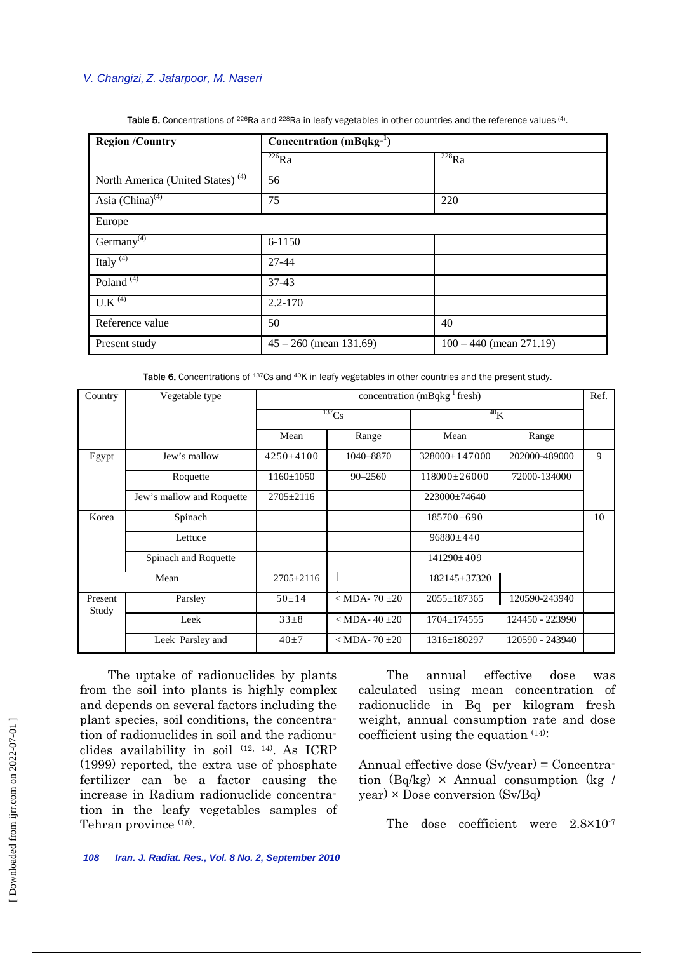### *V. Changizi, Z. Jafarpoor, M. Naseri*

| <b>Region /Country</b>                       | Concentration $(mBqkg^{-1})$ |                           |  |
|----------------------------------------------|------------------------------|---------------------------|--|
|                                              | $\frac{226}{226}$ Ra         | $^{228}Ra$                |  |
| North America (United States) <sup>(4)</sup> | 56                           |                           |  |
| Asia $(\overline{China})^{(4)}$              | 75                           | 220                       |  |
| Europe                                       |                              |                           |  |
| Germany <sup>(4)</sup>                       | 6-1150                       |                           |  |
| Italy $(4)$                                  | 27-44                        |                           |  |
| Poland <sup><math>(4)</math></sup>           | $37 - 43$                    |                           |  |
| $U.K^{(4)}$                                  | $2.2 - 170$                  |                           |  |
| Reference value                              | 50                           | 40                        |  |
| Present study                                | $45 - 260$ (mean 131.69)     | $100 - 440$ (mean 271.19) |  |

Table 5. Concentrations of <sup>226</sup>Ra and <sup>228</sup>Ra in leafy vegetables in other countries and the reference values (4).

Table 6. Concentrations of 137Cs and <sup>40</sup>K in leafy vegetables in other countries and the present study.

| Country          | Vegetable type            | concentration $(mBqkg^{-1}$ fresh) |                     |                     | Ref.            |    |
|------------------|---------------------------|------------------------------------|---------------------|---------------------|-----------------|----|
|                  |                           | $^{137}Cs$                         |                     | 40 <sub>K</sub>     |                 |    |
|                  |                           | Mean                               | Range               | Mean                | Range           |    |
| Egypt            | Jew's mallow              | $4250+4100$                        | 1040-8870           | $328000 \pm 147000$ | 202000-489000   | 9  |
|                  | Roquette                  | $1160 \pm 1050$                    | $90 - 2560$         | $118000 \pm 26000$  | 72000-134000    |    |
|                  | Jew's mallow and Roquette | $2705 \pm 2116$                    |                     | $223000 \pm 74640$  |                 |    |
| Korea            | Spinach                   |                                    |                     | $185700 \pm 690$    |                 | 10 |
|                  | Lettuce                   |                                    |                     | $96880 \pm 440$     |                 |    |
|                  | Spinach and Roquette      |                                    |                     | $141290 \pm 409$    |                 |    |
|                  | Mean                      | $2705 \pm 2116$                    |                     | $182145 \pm 37320$  |                 |    |
| Present<br>Study | Parsley                   | $50 \pm 14$                        | $<$ MDA-70 $\pm$ 20 | $2055 \pm 187365$   | 120590-243940   |    |
|                  | Leek                      | $33 + 8$                           | $<$ MDA-40 $\pm$ 20 | $1704 \pm 174555$   | 124450 - 223990 |    |
|                  | Leek Parsley and          | $40+7$                             | $<$ MDA-70 $\pm$ 20 | $1316 \pm 180297$   | 120590 - 243940 |    |

 The uptake of radionuclides by plants from the soil into plants is highly complex and depends on several factors including the plant species, soil conditions, the concentration of radionuclides in soil and the radionuclides availability in soil (12, 14). As ICRP (1999) reported, the extra use of phosphate fertilizer can be a factor causing the increase in Radium radionuclide concentration in the leafy vegetables samples of Tehran province  $(15)$ .

 The annual effective dose was calculated using mean concentration of radionuclide in Bq per kilogram fresh weight, annual consumption rate and dose coefficient using the equation (14):

Annual effective dose (Sv/year) = Concentration (Bq/kg)  $\times$  Annual consumption (kg / year) × Dose conversion (Sv/Bq)

The dose coefficient were  $2.8 \times 10^{-7}$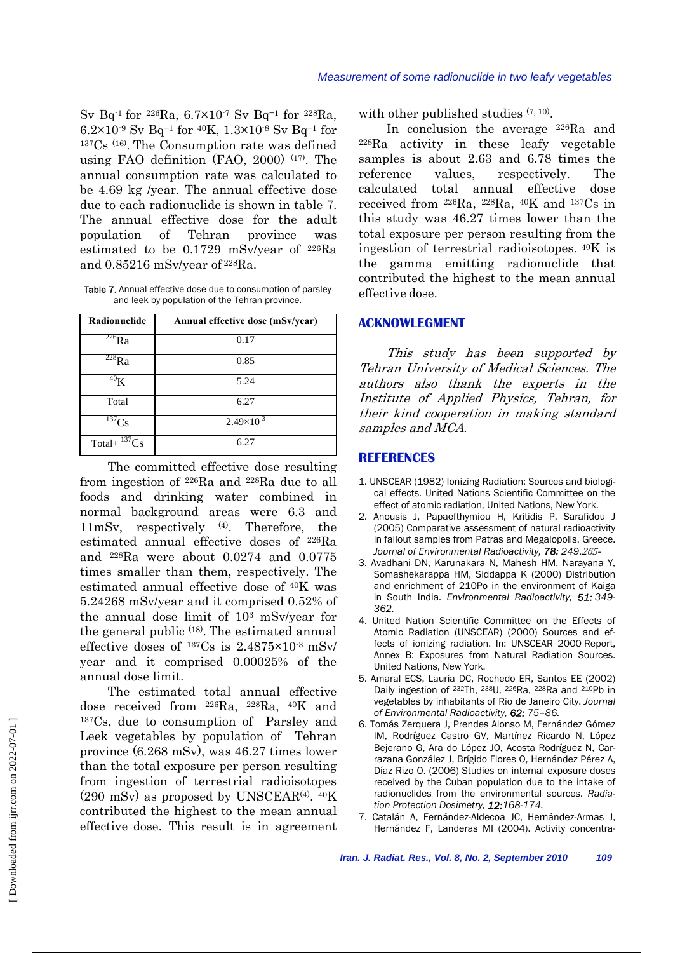Sv Bq-1 for 226Ra, 6.7×10-7 Sv Bq−1 for 228Ra, 6.2×10-9 Sv Bq−1 for 40K, 1.3×10-8 Sv Bq−1 for 137Cs (16). The Consumption rate was defined using FAO definition (FAO, 2000) (17). The annual consumption rate was calculated to be 4.69 kg /year. The annual effective dose due to each radionuclide is shown in table 7. The annual effective dose for the adult population of Tehran province was estimated to be 0.1729 mSv/year of 226Ra and 0.85216 mSv/year of 228Ra.

Table 7. Annual effective dose due to consumption of parsley and leek by population of the Tehran province.

| Radionuclide         | Annual effective dose (mSv/year) |
|----------------------|----------------------------------|
| $^{226}$ Ra          | 0.17                             |
| $228$ Ra             | 0.85                             |
| 40 <sub>K</sub>      | 5.24                             |
| Total                | 6.27                             |
| $^{137}Cs$           | $2.49\times10^{-3}$              |
| $^{137}Cs$<br>Total+ | 6.27                             |

 The committed effective dose resulting from ingestion of 226Ra and 228Ra due to all foods and drinking water combined in normal background areas were 6.3 and 11mSv, respectively (4). Therefore, the estimated annual effective doses of 226Ra and 228Ra were about 0.0274 and 0.0775 times smaller than them, respectively. The estimated annual effective dose of 40K was 5.24268 mSv/year and it comprised 0.52% of the annual dose limit of 103 mSv/year for the general public  $(18)$ . The estimated annual effective doses of 137Cs is 2.4875×10-3 mSv/ year and it comprised 0.00025% of the annual dose limit.

 The estimated total annual effective dose received from 226Ra, 228Ra, 40K and 137Cs, due to consumption of Parsley and Leek vegetables by population of Tehran province (6.268 mSv), was 46.27 times lower than the total exposure per person resulting from ingestion of terrestrial radioisotopes  $(290 \text{ mSv})$  as proposed by UNSCEAR<sup>(4)</sup>.  $40\text{K}$ contributed the highest to the mean annual effective dose. This result is in agreement with other published studies  $(7, 10)$ .

 In conclusion the average 226Ra and 228Ra activity in these leafy vegetable samples is about 2.63 and 6.78 times the reference values, respectively. The calculated total annual effective dose received from 226Ra, 228Ra, 40K and 137Cs in this study was 46.27 times lower than the total exposure per person resulting from the ingestion of terrestrial radioisotopes. 40K is the gamma emitting radionuclide that contributed the highest to the mean annual effective dose.

#### **ACKNOWLEGMENT**

 This study has been supported by Tehran University of Medical Sciences. The authors also thank the experts in the Institute of Applied Physics, Tehran, for their kind cooperation in making standard samples and MCA.

#### **REFERENCES**

- 1. UNSCEAR (1982) Ionizing Radiation: Sources and biological effects. United Nations Scientific Committee on the effect of atomic radiation, United Nations, New York.
- 2. Anousis J, Papaefthymiou H, Kritidis P, Sarafidou J (2005) Comparative assessment of natural radioactivity in fallout samples from Patras and Megalopolis, Greece. Journal of Environmental Radioactivity, 78: 249.265-
- 3. Avadhani DN, Karunakara N, Mahesh HM, Narayana Y, Somashekarappa HM, Siddappa K (2000) Distribution and enrichment of 210Po in the environment of Kaiga in South India. *Environmental Radioactivity, 51: 349- 362.*
- 4. United Nation Scientific Committee on the Effects of Atomic Radiation (UNSCEAR) (2000) Sources and effects of ionizing radiation. In: UNSCEAR 2000 Report, Annex B: Exposures from Natural Radiation Sources. United Nations, New York.
- 5. Amaral ECS, Lauria DC, Rochedo ER, Santos EE (2002) Daily ingestion of 232Th, 238U, 226Ra, 228Ra and 210Pb in vegetables by inhabitants of Rio de Janeiro City. *Journal of Environmental Radioactivity, 62: 75–86.*
- 6. Tomás Zerquera J, Prendes Alonso M, Fernández Gómez IM, Rodríguez Castro GV, Martínez Ricardo N, López Bejerano G, Ara do López JO, Acosta Rodríguez N, Carrazana González J, Brígido Flores O, Hernández Pérez A, Díaz Rizo O. (2006) Studies on internal exposure doses received by the Cuban population due to the intake of radionuclides from the environmental sources. *Radiation Protection Dosimetry, 12:168-174.*
- 7. Catalán A, Fernández-Aldecoa JC, Hernández-Armas J, Hernández F, Landeras MI (2004). Activity concentra-